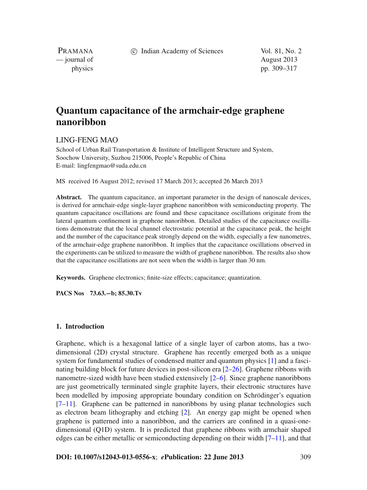c Indian Academy of Sciences Vol. 81, No. 2

PRAMANA — journal of August 2013

physics pp. 309–317

# **Quantum capacitance of the armchair-edge graphene nanoribbon**

# LING-FENG MAO

School of Urban Rail Transportation & Institute of Intelligent Structure and System, Soochow University, Suzhou 215006, People's Republic of China E-mail: lingfengmao@suda.edu.cn

MS received 16 August 2012; revised 17 March 2013; accepted 26 March 2013

**Abstract.** The quantum capacitance, an important parameter in the design of nanoscale devices, is derived for armchair-edge single-layer graphene nanoribbon with semiconducting property. The quantum capacitance oscillations are found and these capacitance oscillations originate from the lateral quantum confinement in graphene nanoribbon. Detailed studies of the capacitance oscillations demonstrate that the local channel electrostatic potential at the capacitance peak, the height and the number of the capacitance peak strongly depend on the width, especially a few nanometres, of the armchair-edge graphene nanoribbon. It implies that the capacitance oscillations observed in the experiments can be utilized to measure the width of graphene nanoribbon. The results also show that the capacitance oscillations are not seen when the width is larger than 30 nm.

**Keywords.** Graphene electronics; finite-size effects; capacitance; quantization.

**PACS Nos 73.63.−b; 85.30.Tv**

#### **1. Introduction**

Graphene, which is a hexagonal lattice of a single layer of carbon atoms, has a twodimensional (2D) crystal structure. Graphene has recently emerged both as a unique system for fundamental studies of condensed matter and quantum physics [\[1](#page-7-0)] and a fascinating building block for future devices in post-silicon era [\[2](#page-7-1)[–26\]](#page-8-0). Graphene ribbons with nanometre-sized width have been studied extensively [\[2](#page-7-1)[–6\]](#page-8-1). Since graphene nanoribbons are just geometrically terminated single graphite layers, their electronic structures have been modelled by imposing appropriate boundary condition on Schrödinger's equation [\[7](#page-8-2)[–11](#page-8-3)]. Graphene can be patterned in nanoribbons by using planar technologies such as electron beam lithography and etching [\[2](#page-7-1)]. An energy gap might be opened when graphene is patterned into a nanoribbon, and the carriers are confined in a quasi-onedimensional (Q1D) system. It is predicted that graphene ribbons with armchair shaped edges can be either metallic or semiconducting depending on their width  $[7-11]$  $[7-11]$ , and that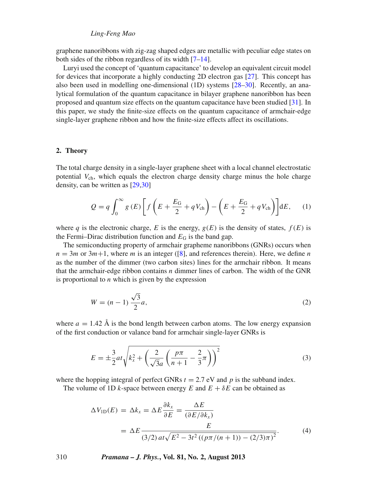## *Ling-Feng Mao*

graphene nanoribbons with zig-zag shaped edges are metallic with peculiar edge states on both sides of the ribbon regardless of its width [\[7](#page-8-2)[–14](#page-8-4)].

Luryi used the concept of 'quantum capacitance' to develop an equivalent circuit model for devices that incorporate a highly conducting 2D electron gas [\[27](#page-8-5)]. This concept has also been used in modelling one-dimensional (1D) systems [\[28](#page-8-6)[–30](#page-8-7)]. Recently, an analytical formulation of the quantum capacitance in bilayer graphene nanoribbon has been proposed and quantum size effects on the quantum capacitance have been studied [\[31](#page-8-8)]. In this paper, we study the finite-size effects on the quantum capacitance of armchair-edge single-layer graphene ribbon and how the finite-size effects affect its oscillations.

#### **2. Theory**

The total charge density in a single-layer graphene sheet with a local channel electrostatic potential  $V_{ch}$ , which equals the electron charge density charge minus the hole charge density, can be written as [\[29](#page-8-9)[,30\]](#page-8-7)

$$
Q = q \int_0^\infty g(E) \left[ f \left( E + \frac{E_G}{2} + qV_{ch} \right) - \left( E + \frac{E_G}{2} + qV_{ch} \right) \right] dE, \quad (1)
$$

where *q* is the electronic charge, *E* is the energy,  $g(E)$  is the density of states,  $f(E)$  is the Fermi–Dirac distribution function and  $E_G$  is the band gap.

The semiconducting property of armchair grapheme nanoribbons (GNRs) occurs when  $n = 3m$  or  $3m+1$ , where *m* is an integer ([\[8\]](#page-8-10), and references therein). Here, we define *n* as the number of the dimmer (two carbon sites) lines for the armchair ribbon. It means that the armchair-edge ribbon contains *n* dimmer lines of carbon. The width of the GNR is proportional to *n* which is given by the expression

$$
W = (n-1)\frac{\sqrt{3}}{2}a,
$$
\n(2)

where  $a = 1.42 \text{ Å}$  is the bond length between carbon atoms. The low energy expansion of the first conduction or valance band for armchair single-layer GNRs is

$$
E = \pm \frac{3}{2}at\sqrt{k_x^2 + \left(\frac{2}{\sqrt{3}a}\left(\frac{p\pi}{n+1} - \frac{2}{3}\pi\right)\right)^2}
$$
(3)

where the hopping integral of perfect GNRs  $t = 2.7$  eV and p is the subband index.

The volume of 1D *k*-space between energy *E* and  $E + \delta E$  can be obtained as

$$
\Delta V_{1D}(E) = \Delta k_x = \Delta E \frac{\partial k_x}{\partial E} = \frac{\Delta E}{(\partial E/\partial k_x)}
$$
  
= 
$$
\Delta E \frac{E}{(3/2) \, at \sqrt{E^2 - 3t^2 \left( (p\pi/(n+1)) - (2/3)\pi \right)^2}}.
$$
 (4)

310 *Pramana – J. Phys.***, Vol. 81, No. 2, August 2013**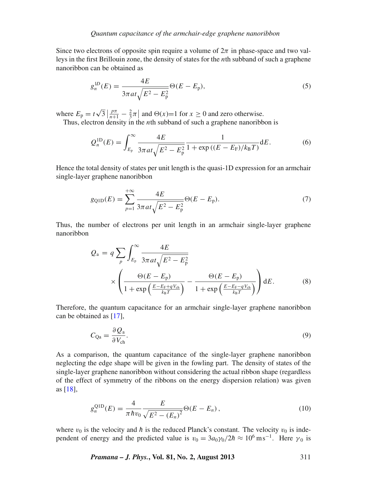Since two electrons of opposite spin require a volume of  $2\pi$  in phase-space and two valleys in the first Brillouin zone, the density of states for the *n*th subband of such a graphene nanoribbon can be obtained as

$$
g_n^{1D}(E) = \frac{4E}{3\pi a t \sqrt{E^2 - E_p^2}} \Theta(E - E_p),
$$
\n(5)

where  $E_p = t\sqrt{3} \left| \frac{p\pi}{n+1} - \frac{2}{3}\pi \right|$  and  $\Theta(x)=1$  for  $x \ge 0$  and zero otherwise.

Thus, electron density in the *n*th subband of such a graphene nanoribbon is

$$
Q_n^{\text{1D}}(E) = \int_{E_p}^{\infty} \frac{4E}{3\pi a t \sqrt{E^2 - E_p^2}} \frac{1}{1 + \exp\left((E - E_F)/k_B T\right)} dE.
$$
 (6)

Hence the total density of states per unit length is the quasi-1D expression for an armchair single-layer graphene nanoribbon

$$
g_{\text{Q1D}}(E) = \sum_{p=1}^{+\infty} \frac{4E}{3\pi a t \sqrt{E^2 - E_p^2}} \Theta(E - E_p). \tag{7}
$$

Thus, the number of electrons per unit length in an armchair single-layer graphene nanoribbon

$$
Q_{\rm a} = q \sum_{p} \int_{E_{\rm p}}^{\infty} \frac{4E}{3\pi a t \sqrt{E^2 - E_{\rm p}^2}} \times \left( \frac{\Theta(E - E_{\rm p})}{1 + \exp\left(\frac{E - E_{\rm r} + q V_{\rm ch}}{k_{\rm B} T}\right)} - \frac{\Theta(E - E_{\rm p})}{1 + \exp\left(\frac{E - E_{\rm r} - q V_{\rm ch}}{k_{\rm B} T}\right)} \right) dE.
$$
 (8)

Therefore, the quantum capacitance for an armchair single-layer graphene nanoribbon can be obtained as [\[17](#page-8-11)],

$$
C_{\text{Qa}} = \frac{\partial Q_a}{\partial V_{\text{ch}}}. \tag{9}
$$

As a comparison, the quantum capacitance of the single-layer graphene nanoribbon neglecting the edge shape will be given in the fowling part. The density of states of the single-layer graphene nanoribbon without considering the actual ribbon shape (regardless of the effect of symmetry of the ribbons on the energy dispersion relation) was given as [\[18](#page-8-12)],

$$
g_n^{\text{Q1D}}(E) = \frac{4}{\pi \hbar v_0} \frac{E}{\sqrt{E^2 - (E_n)^2}} \Theta(E - E_n), \qquad (10)
$$

where  $v_0$  is the velocity and  $\hbar$  is the reduced Planck's constant. The velocity  $v_0$  is independent of energy and the predicted value is  $v_0 = 3a_0\gamma_0/2\hbar \approx 10^6 \text{ ms}^{-1}$ . Here  $\gamma_0$  is

*Pramana – J. Phys.***, Vol. 81, No. 2, August 2013** 311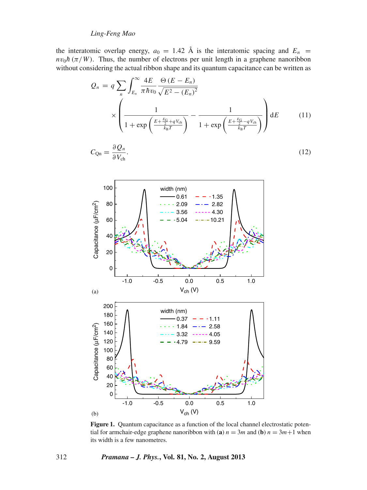# *Ling-Feng Mao*

the interatomic overlap energy,  $a_0 = 1.42 \text{ Å}$  is the interatomic spacing and  $E_n$  $nv_0h(\pi/W)$ . Thus, the number of electrons per unit length in a graphene nanoribbon without considering the actual ribbon shape and its quantum capacitance can be written as

$$
Q_n = q \sum_{n} \int_{E_n}^{\infty} \frac{4E}{\pi \hbar v_0} \frac{\Theta (E - E_n)}{\sqrt{E^2 - (E_n)^2}} \times \left( \frac{1}{1 + \exp \left( \frac{E + \frac{E_0}{2} + qV_{ch}}{k_B T} \right)} - \frac{1}{1 + \exp \left( \frac{E + \frac{E_0}{2} - qV_{ch}}{k_B T} \right)} \right) dE \tag{11}
$$

$$
C_{\rm Qn} = \frac{\partial \mathcal{Q}_n}{\partial V_{\rm ch}}.\tag{12}
$$

<span id="page-3-0"></span>

**Figure 1.** Quantum capacitance as a function of the local channel electrostatic potential for armchair-edge graphene nanoribbon with (**a**)  $n = 3m$  and (**b**)  $n = 3m+1$  when its width is a few nanometres.

## 312 *Pramana – J. Phys.***, Vol. 81, No. 2, August 2013**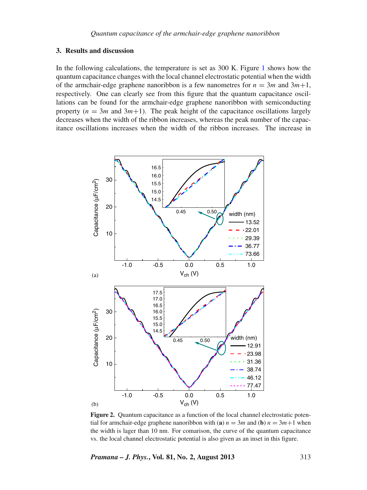## **3. Results and discussion**

In the following calculations, the temperature is set as 300 K. Figure [1](#page-3-0) shows how the quantum capacitance changes with the local channel electrostatic potential when the width of the armchair-edge graphene nanoribbon is a few nanometres for  $n = 3m$  and  $3m+1$ , respectively. One can clearly see from this figure that the quantum capacitance oscillations can be found for the armchair-edge graphene nanoribbon with semiconducting property  $(n = 3m$  and  $3m+1)$ . The peak height of the capacitance oscillations largely decreases when the width of the ribbon increases, whereas the peak number of the capacitance oscillations increases when the width of the ribbon increases. The increase in

<span id="page-4-0"></span>

**Figure 2.** Quantum capacitance as a function of the local channel electrostatic potential for armchair-edge graphene nanoribbon with (**a**)  $n = 3m$  and (**b**)  $n = 3m+1$  when the width is lager than 10 nm. For comarison, the curve of the quantum capacitance vs. the local channel electrostatic potential is also given as an inset in this figure.

*Pramana – J. Phys.***, Vol. 81, No. 2, August 2013** 313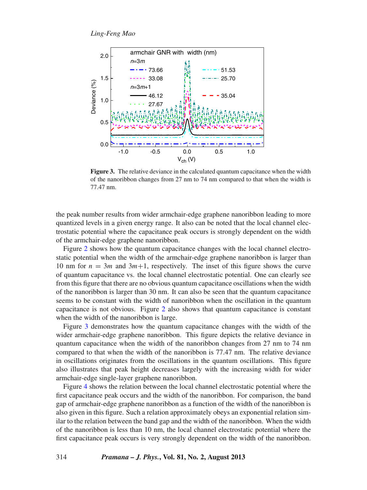<span id="page-5-0"></span>

**Figure 3.** The relative deviance in the calculated quantum capacitance when the width of the nanoribbon changes from 27 nm to 74 nm compared to that when the width is 77.47 nm.

the peak number results from wider armchair-edge graphene nanoribbon leading to more quantized levels in a given energy range. It also can be noted that the local channel electrostatic potential where the capacitance peak occurs is strongly dependent on the width of the armchair-edge graphene nanoribbon.

Figure [2](#page-4-0) shows how the quantum capacitance changes with the local channel electrostatic potential when the width of the armchair-edge graphene nanoribbon is larger than 10 nm for  $n = 3m$  and  $3m+1$ , respectively. The inset of this figure shows the curve of quantum capacitance vs. the local channel electrostatic potential. One can clearly see from this figure that there are no obvious quantum capacitance oscillations when the width of the nanoribbon is larger than 30 nm. It can also be seen that the quantum capacitance seems to be constant with the width of nanoribbon when the oscillation in the quantum capacitance is not obvious. Figure [2](#page-4-0) also shows that quantum capacitance is constant when the width of the nanoribbon is large.

Figure [3](#page-5-0) demonstrates how the quantum capacitance changes with the width of the wider armchair-edge graphene nanoribbon. This figure depicts the relative deviance in quantum capacitance when the width of the nanoribbon changes from 27 nm to 74 nm compared to that when the width of the nanoribbon is 77.47 nm. The relative deviance in oscillations originates from the oscillations in the quantum oscillations. This figure also illustrates that peak height decreases largely with the increasing width for wider armchair-edge single-layer graphene nanoribbon.

Figure [4](#page-6-0) shows the relation between the local channel electrostatic potential where the first capacitance peak occurs and the width of the nanoribbon. For comparison, the band gap of armchair-edge graphene nanoribbon as a function of the width of the nanoribbon is also given in this figure. Such a relation approximately obeys an exponential relation similar to the relation between the band gap and the width of the nanoribbon. When the width of the nanoribbon is less than 10 nm, the local channel electrostatic potential where the first capacitance peak occurs is very strongly dependent on the width of the nanoribbon.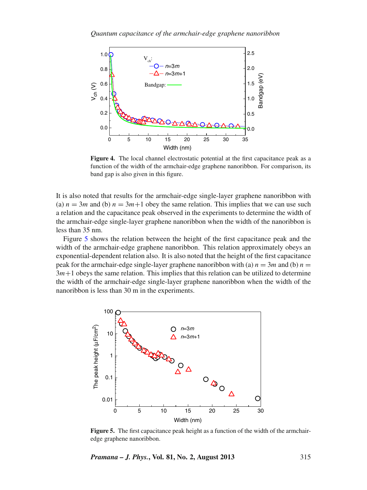<span id="page-6-0"></span>

**Figure 4.** The local channel electrostatic potential at the first capacitance peak as a function of the width of the armchair-edge graphene nanoribbon. For comparison, its band gap is also given in this figure.

It is also noted that results for the armchair-edge single-layer graphene nanoribbon with (a)  $n = 3m$  and (b)  $n = 3m+1$  obey the same relation. This implies that we can use such a relation and the capacitance peak observed in the experiments to determine the width of the armchair-edge single-layer graphene nanoribbon when the width of the nanoribbon is less than 35 nm.

Figure [5](#page-6-1) shows the relation between the height of the first capacitance peak and the width of the armchair-edge graphene nanoribbon. This relation approximately obeys an exponential-dependent relation also. It is also noted that the height of the first capacitance peak for the armchair-edge single-layer graphene nanoribbon with (a)  $n = 3m$  and (b)  $n =$  $3m+1$  obeys the same relation. This implies that this relation can be utilized to determine the width of the armchair-edge single-layer graphene nanoribbon when the width of the nanoribbon is less than 30 m in the experiments.

<span id="page-6-1"></span>

**Figure 5.** The first capacitance peak height as a function of the width of the armchairedge graphene nanoribbon.

*Pramana – J. Phys.***, Vol. 81, No. 2, August 2013** 315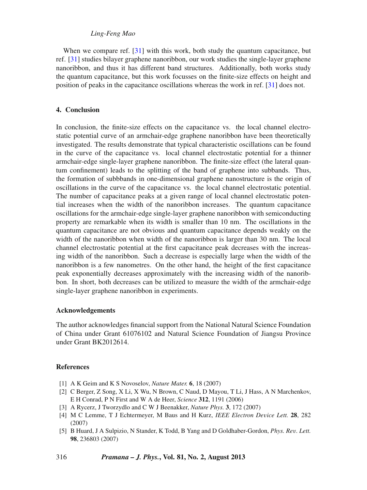# *Ling-Feng Mao*

When we compare ref. [\[31](#page-8-8)] with this work, both study the quantum capacitance, but ref. [\[31\]](#page-8-8) studies bilayer graphene nanoribbon, our work studies the single-layer graphene nanoribbon, and thus it has different band structures. Additionally, both works study the quantum capacitance, but this work focusses on the finite-size effects on height and position of peaks in the capacitance oscillations whereas the work in ref. [\[31](#page-8-8)] does not.

## **4. Conclusion**

In conclusion, the finite-size effects on the capacitance vs. the local channel electrostatic potential curve of an armchair-edge graphene nanoribbon have been theoretically investigated. The results demonstrate that typical characteristic oscillations can be found in the curve of the capacitance vs. local channel electrostatic potential for a thinner armchair-edge single-layer graphene nanoribbon. The finite-size effect (the lateral quantum confinement) leads to the splitting of the band of graphene into subbands. Thus, the formation of subbbands in one-dimensional graphene nanostructure is the origin of oscillations in the curve of the capacitance vs. the local channel electrostatic potential. The number of capacitance peaks at a given range of local channel electrostatic potential increases when the width of the nanoribbon increases. The quantum capacitance oscillations for the armchair-edge single-layer graphene nanoribbon with semiconducting property are remarkable when its width is smaller than 10 nm. The oscillations in the quantum capacitance are not obvious and quantum capacitance depends weakly on the width of the nanoribbon when width of the nanoribbon is larger than 30 nm. The local channel electrostatic potential at the first capacitance peak decreases with the increasing width of the nanoribbon. Such a decrease is especially large when the width of the nanoribbon is a few nanometres. On the other hand, the height of the first capacitance peak exponentially decreases approximately with the increasing width of the nanoribbon. In short, both decreases can be utilized to measure the width of the armchair-edge single-layer graphene nanoribbon in experiments.

#### **Acknowledgements**

The author acknowledges financial support from the National Natural Science Foundation of China under Grant 61076102 and Natural Science Foundation of Jiangsu Province under Grant BK2012614.

### **References**

- <span id="page-7-0"></span>[1] A K Geim and K S Novoselov, *Nature Mater.* **6**, 18 (2007)
- <span id="page-7-1"></span>[2] C Berger, Z Song, X Li, X Wu, N Brown, C Naud, D Mayou, T Li, J Hass, A N Marchenkov, E H Conrad, P N First and W A de Heer, *Science* **312**, 1191 (2006)
- [3] A Rycerz, J Tworzydlo and C W J Beenakker, *Nature Phys.* **3**, 172 (2007)
- [4] M C Lemme, T J Echtermeyer, M Baus and H Kurz, *IEEE Electron De*v*ice Lett.* **28**, 282 (2007)
- [5] B Huard, J A Sulpizio, N Stander, K Todd, B Yang and D Goldhaber-Gordon, *Phys. Re*v*. Lett.* **98**, 236803 (2007)

316 *Pramana – J. Phys.***, Vol. 81, No. 2, August 2013**